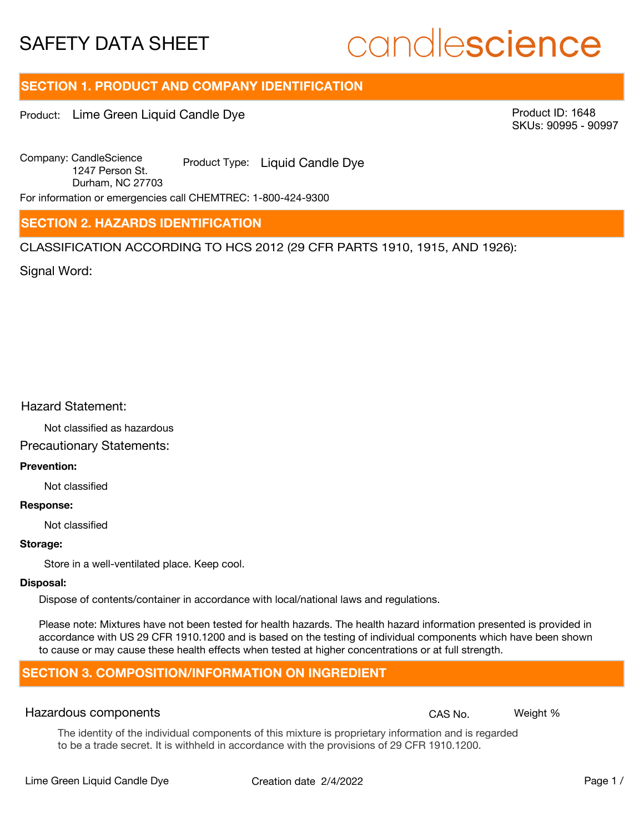# candlescience

## **SECTION 1. PRODUCT AND COMPANY IDENTIFICATION**

Product: Lime Green Liquid Candle Dye

Product ID: 1648 SKUs: 90995 - 90997

Company: Candle Science Product Type: Liquid Candle Dye 1247 Person St. Durham, NC 27703

For information or emergencies call CHEMTREC: 1-800-424-9300

## **SECTION 2. HAZARDS IDENTIFICATION**

CLASSIFICATION ACCORDING TO HCS 2012 (29 CFR PARTS 1910, 1915, AND 1926):

Signal Word:

## Hazard Statement:

Not classified as hazardous

## Precautionary Statements:

## **Prevention:**

Not classified

#### **Response:**

Not classified

### **Storage:**

Store in a well-ventilated place. Keep cool.

#### **Disposal:**

Dispose of contents/container in accordance with local/national laws and regulations.

Please note: Mixtures have not been tested for health hazards. The health hazard information presented is provided in accordance with US 29 CFR 1910.1200 and is based on the testing of individual components which have been shown to cause or may cause these health effects when tested at higher concentrations or at full strength.

## **SECTION 3. COMPOSITION/INFORMATION ON INGREDIENT**

## Hazardous components **CAS No. Weight %** and CAS No. Weight %

The identity of the individual components of this mixture is proprietary information and is regarded to be a trade secret. It is withheld in accordance with the provisions of 29 CFR 1910.1200.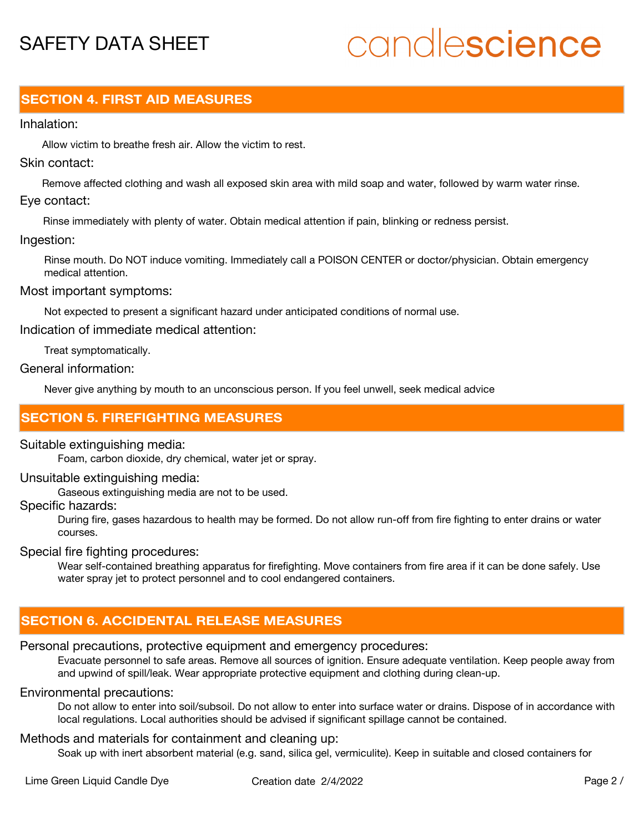# candlescience

## **SECTION 4. FIRST AID MEASURES**

## Inhalation:

Allow victim to breathe fresh air. Allow the victim to rest.

## Skin contact:

Remove affected clothing and wash all exposed skin area with mild soap and water, followed by warm water rinse. Eye contact:

Rinse immediately with plenty of water. Obtain medical attention if pain, blinking or redness persist.

## Ingestion:

Rinse mouth. Do NOT induce vomiting. Immediately call a POISON CENTER or doctor/physician. Obtain emergency medical attention.

## Most important symptoms:

Not expected to present a significant hazard under anticipated conditions of normal use.

Indication of immediate medical attention:

Treat symptomatically.

## General information:

Never give anything by mouth to an unconscious person. If you feel unwell, seek medical advice

## **SECTION 5. FIREFIGHTING MEASURES**

## Suitable extinguishing media:

Foam, carbon dioxide, dry chemical, water jet or spray.

## Unsuitable extinguishing media:

Gaseous extinguishing media are not to be used.

## Specific hazards:

During fire, gases hazardous to health may be formed. Do not allow run-off from fire fighting to enter drains or water courses.

## Special fire fighting procedures:

Wear self-contained breathing apparatus for firefighting. Move containers from fire area if it can be done safely. Use water spray jet to protect personnel and to cool endangered containers.

## **SECTION 6. ACCIDENTAL RELEASE MEASURES**

## Personal precautions, protective equipment and emergency procedures:

Evacuate personnel to safe areas. Remove all sources of ignition. Ensure adequate ventilation. Keep people away from and upwind of spill/leak. Wear appropriate protective equipment and clothing during clean-up.

## Environmental precautions:

Do not allow to enter into soil/subsoil. Do not allow to enter into surface water or drains. Dispose of in accordance with local regulations. Local authorities should be advised if significant spillage cannot be contained.

## Methods and materials for containment and cleaning up:

Soak up with inert absorbent material (e.g. sand, silica gel, vermiculite). Keep in suitable and closed containers for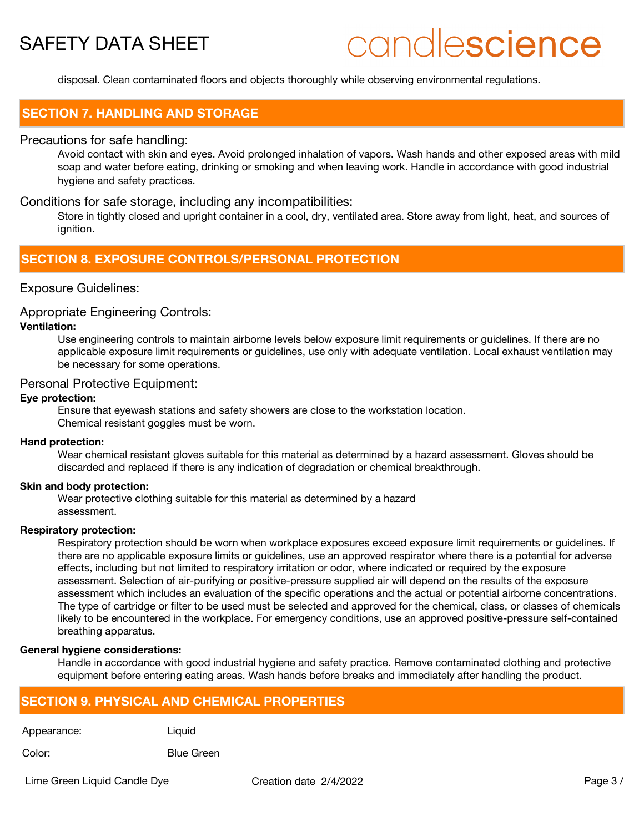# candlescience

disposal. Clean contaminated floors and objects thoroughly while observing environmental regulations.

## **SECTION 7. HANDLING AND STORAGE**

## Precautions for safe handling:

Avoid contact with skin and eyes. Avoid prolonged inhalation of vapors. Wash hands and other exposed areas with mild soap and water before eating, drinking or smoking and when leaving work. Handle in accordance with good industrial hygiene and safety practices.

## Conditions for safe storage, including any incompatibilities:

Store in tightly closed and upright container in a cool, dry, ventilated area. Store away from light, heat, and sources of ignition.

## **SECTION 8. EXPOSURE CONTROLS/PERSONAL PROTECTION**

## Exposure Guidelines:

## Appropriate Engineering Controls:

## **Ventilation:**

Use engineering controls to maintain airborne levels below exposure limit requirements or guidelines. If there are no applicable exposure limit requirements or guidelines, use only with adequate ventilation. Local exhaust ventilation may be necessary for some operations.

## Personal Protective Equipment:

## **Eye protection:**

Ensure that eyewash stations and safety showers are close to the workstation location. Chemical resistant goggles must be worn.

#### **Hand protection:**

Wear chemical resistant gloves suitable for this material as determined by a hazard assessment. Gloves should be discarded and replaced if there is any indication of degradation or chemical breakthrough.

#### **Skin and body protection:**

Wear protective clothing suitable for this material as determined by a hazard assessment.

### **Respiratory protection:**

Respiratory protection should be worn when workplace exposures exceed exposure limit requirements or guidelines. If there are no applicable exposure limits or guidelines, use an approved respirator where there is a potential for adverse effects, including but not limited to respiratory irritation or odor, where indicated or required by the exposure assessment. Selection of air-purifying or positive-pressure supplied air will depend on the results of the exposure assessment which includes an evaluation of the specific operations and the actual or potential airborne concentrations. The type of cartridge or filter to be used must be selected and approved for the chemical, class, or classes of chemicals likely to be encountered in the workplace. For emergency conditions, use an approved positive-pressure self-contained breathing apparatus.

#### **General hygiene considerations:**

Handle in accordance with good industrial hygiene and safety practice. Remove contaminated clothing and protective equipment before entering eating areas. Wash hands before breaks and immediately after handling the product.

## **SECTION 9. PHYSICAL AND CHEMICAL PROPERTIES**

Appearance: Liquid

Color: Blue Green

Lime Green Liquid Candle Dye Creation date 2/4/2022 Page 3 /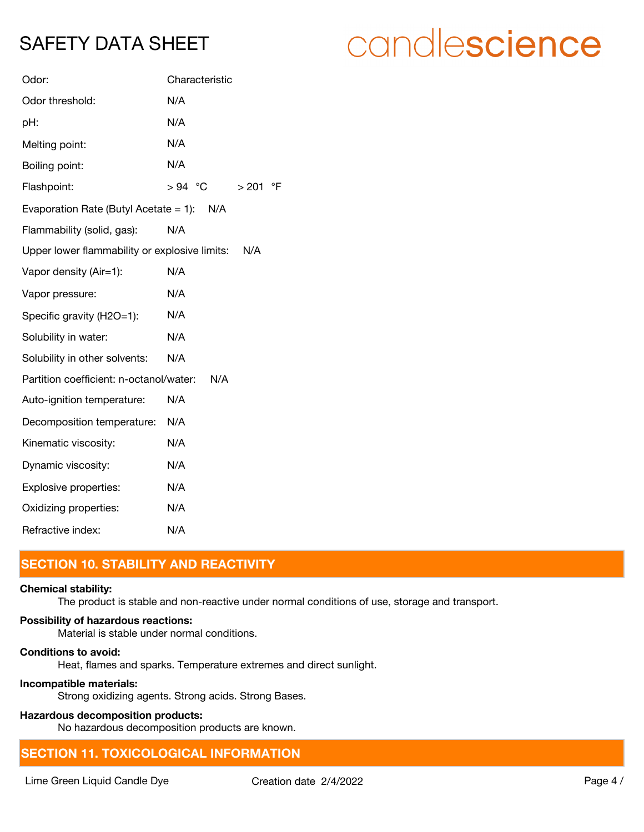| Odor:                                         | Characteristic                 |
|-----------------------------------------------|--------------------------------|
| Odor threshold:                               | N/A                            |
| pH:                                           | N/A                            |
| Melting point:                                | N/A                            |
| Boiling point:                                | N/A                            |
| Flashpoint:                                   | $>94$ °C<br>$\circ$ F<br>> 201 |
| Evaporation Rate (Butyl Acetate = 1): $N/A$   |                                |
| Flammability (solid, gas):                    | N/A                            |
| Upper lower flammability or explosive limits: | N/A                            |
| Vapor density (Air=1):                        | N/A                            |
| Vapor pressure:                               | N/A                            |
| Specific gravity (H2O=1):                     | N/A                            |
| Solubility in water:                          | N/A                            |
| Solubility in other solvents:                 | N/A                            |
| Partition coefficient: n-octanol/water:       | N/A                            |
| Auto-ignition temperature:                    | N/A                            |
| Decomposition temperature:                    | N/A                            |
| Kinematic viscosity:                          | N/A                            |
| Dynamic viscosity:                            | N/A                            |
| Explosive properties:                         | N/A                            |
| Oxidizing properties:                         | N/A                            |
| Refractive index:                             | N/A                            |

## **SECTION 10. STABILITY AND REACTIVITY**

## **Chemical stability:**

The product is stable and non-reactive under normal conditions of use, storage and transport.

## **Possibility of hazardous reactions:**

Material is stable under normal conditions.

## **Conditions to avoid:**

Heat, flames and sparks. Temperature extremes and direct sunlight.

## **Incompatible materials:**

Strong oxidizing agents. Strong acids. Strong Bases.

## **Hazardous decomposition products:**

No hazardous decomposition products are known.

## **SECTION 11. TOXICOLOGICAL INFORMATION**

# candlescience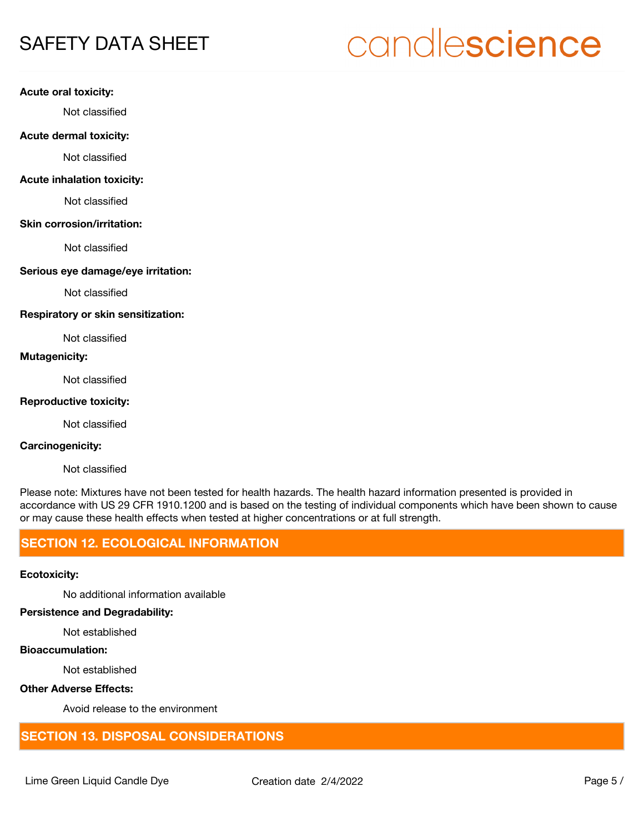# candlescience

#### **Acute oral toxicity:**

Not classified

## **Acute dermal toxicity:**

Not classified

## **Acute inhalation toxicity:**

Not classified

#### **Skin corrosion/irritation:**

Not classified

## **Serious eye damage/eye irritation:**

Not classified

### **Respiratory or skin sensitization:**

Not classified

## **Mutagenicity:**

Not classified

## **Reproductive toxicity:**

Not classified

## **Carcinogenicity:**

Not classified

Please note: Mixtures have not been tested for health hazards. The health hazard information presented is provided in accordance with US 29 CFR 1910.1200 and is based on the testing of individual components which have been shown to cause or may cause these health effects when tested at higher concentrations or at full strength.

## **SECTION 12. ECOLOGICAL INFORMATION**

## **Ecotoxicity:**

No additional information available

## **Persistence and Degradability:**

Not established

## **Bioaccumulation:**

Not established

## **Other Adverse Effects:**

Avoid release to the environment

## **SECTION 13. DISPOSAL CONSIDERATIONS**

Lime Green Liquid Candle Dye Creation date 2/4/2022 Page 5 /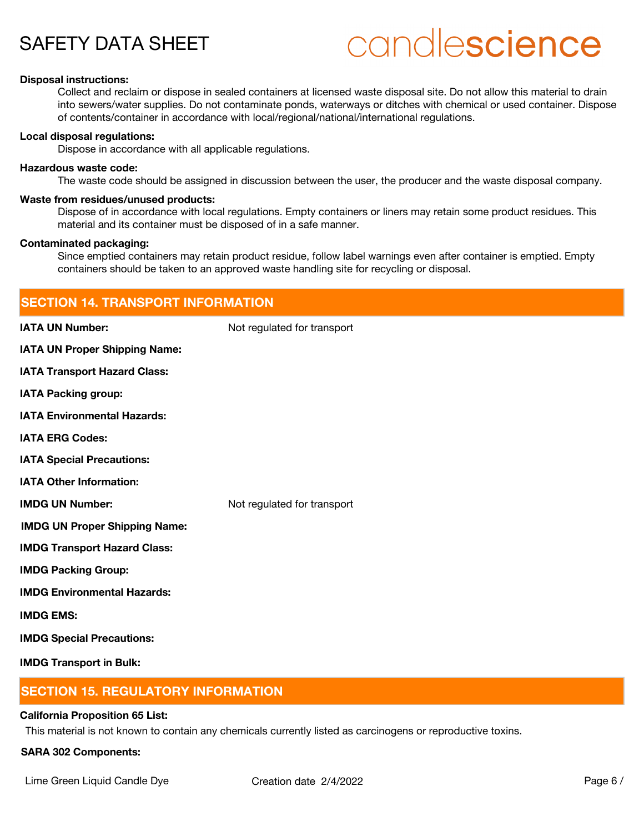# candlescience

### **Disposal instructions:**

Collect and reclaim or dispose in sealed containers at licensed waste disposal site. Do not allow this material to drain into sewers/water supplies. Do not contaminate ponds, waterways or ditches with chemical or used container. Dispose of contents/container in accordance with local/regional/national/international regulations.

#### **Local disposal regulations:**

Dispose in accordance with all applicable regulations.

#### **Hazardous waste code:**

The waste code should be assigned in discussion between the user, the producer and the waste disposal company.

#### **Waste from residues/unused products:**

Dispose of in accordance with local regulations. Empty containers or liners may retain some product residues. This material and its container must be disposed of in a safe manner.

#### **Contaminated packaging:**

Since emptied containers may retain product residue, follow label warnings even after container is emptied. Empty containers should be taken to an approved waste handling site for recycling or disposal.

| <b>SECTION 14. TRANSPORT INFORMATION</b> |                             |
|------------------------------------------|-----------------------------|
| <b>IATA UN Number:</b>                   | Not regulated for transport |
| <b>IATA UN Proper Shipping Name:</b>     |                             |
| <b>IATA Transport Hazard Class:</b>      |                             |
| <b>IATA Packing group:</b>               |                             |
| <b>IATA Environmental Hazards:</b>       |                             |
| <b>IATA ERG Codes:</b>                   |                             |
| <b>IATA Special Precautions:</b>         |                             |
| <b>IATA Other Information:</b>           |                             |
| <b>IMDG UN Number:</b>                   | Not regulated for transport |
| <b>IMDG UN Proper Shipping Name:</b>     |                             |
| <b>IMDG Transport Hazard Class:</b>      |                             |
| <b>IMDG Packing Group:</b>               |                             |
| <b>IMDG Environmental Hazards:</b>       |                             |
| <b>IMDG EMS:</b>                         |                             |
| <b>IMDG Special Precautions:</b>         |                             |
| <b>IMDG Transport in Bulk:</b>           |                             |

## **SECTION 15. REGULATORY INFORMATION**

#### **California Proposition 65 List:**

This material is not known to contain any chemicals currently listed as carcinogens or reproductive toxins.

### **SARA 302 Components:**

Lime Green Liquid Candle Dye Creation date  $2/4/2022$  Page 6 /